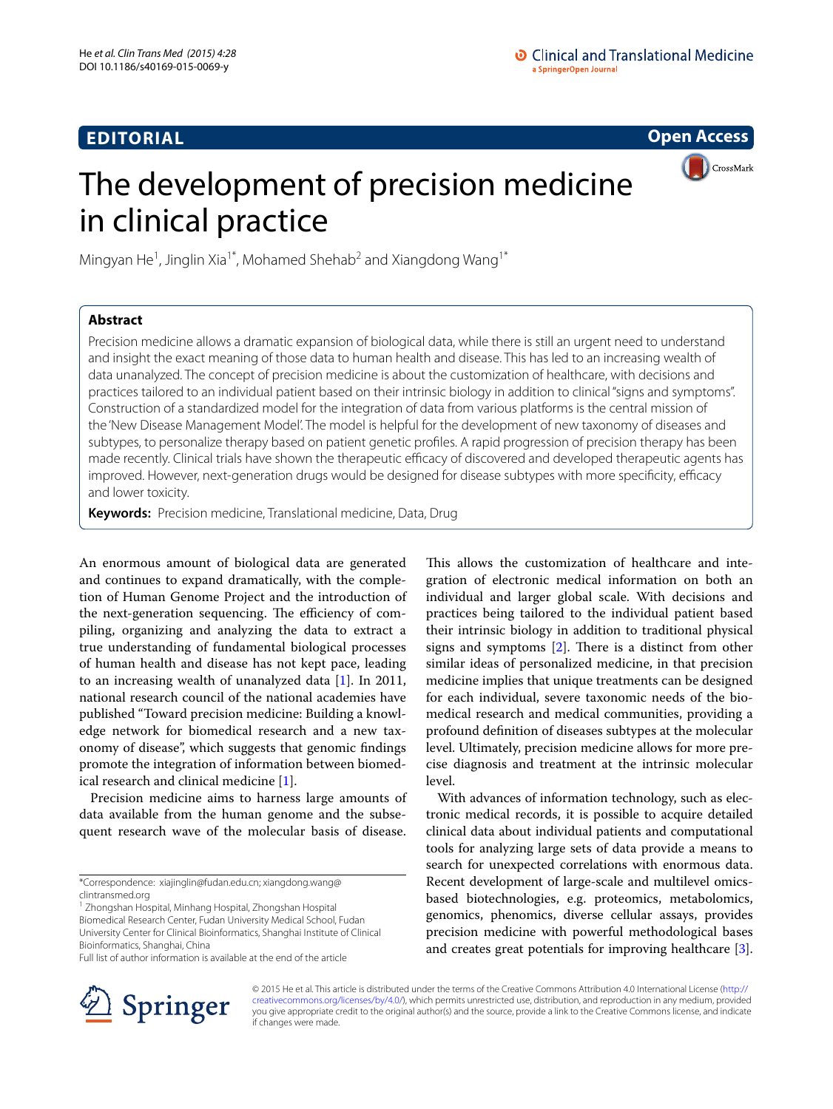**Open Access**

# The development of precision medicine in clinical practice

CrossMark

Mingyan He<sup>1</sup>, Jinglin Xia<sup>1\*</sup>, Mohamed Shehab<sup>2</sup> and Xiangdong Wang<sup>1\*</sup>

## **Abstract**

Precision medicine allows a dramatic expansion of biological data, while there is still an urgent need to understand and insight the exact meaning of those data to human health and disease. This has led to an increasing wealth of data unanalyzed. The concept of precision medicine is about the customization of healthcare, with decisions and practices tailored to an individual patient based on their intrinsic biology in addition to clinical "signs and symptoms". Construction of a standardized model for the integration of data from various platforms is the central mission of the 'New Disease Management Model'. The model is helpful for the development of new taxonomy of diseases and subtypes, to personalize therapy based on patient genetic profiles. A rapid progression of precision therapy has been made recently. Clinical trials have shown the therapeutic efficacy of discovered and developed therapeutic agents has improved. However, next-generation drugs would be designed for disease subtypes with more specificity, efficacy and lower toxicity.

**Keywords:** Precision medicine, Translational medicine, Data, Drug

An enormous amount of biological data are generated and continues to expand dramatically, with the completion of Human Genome Project and the introduction of the next-generation sequencing. The efficiency of compiling, organizing and analyzing the data to extract a true understanding of fundamental biological processes of human health and disease has not kept pace, leading to an increasing wealth of unanalyzed data [[1\]](#page-2-0). In 2011, national research council of the national academies have published "Toward precision medicine: Building a knowledge network for biomedical research and a new taxonomy of disease", which suggests that genomic findings promote the integration of information between biomedical research and clinical medicine [\[1](#page-2-0)].

Precision medicine aims to harness large amounts of data available from the human genome and the subsequent research wave of the molecular basis of disease.

1 Zhongshan Hospital, Minhang Hospital, Zhongshan Hospital

Biomedical Research Center, Fudan University Medical School, Fudan University Center for Clinical Bioinformatics, Shanghai Institute of Clinical Bioinformatics, Shanghai, China

Full list of author information is available at the end of the article



With advances of information technology, such as electronic medical records, it is possible to acquire detailed clinical data about individual patients and computational tools for analyzing large sets of data provide a means to search for unexpected correlations with enormous data. Recent development of large-scale and multilevel omicsbased biotechnologies, e.g. proteomics, metabolomics, genomics, phenomics, diverse cellular assays, provides precision medicine with powerful methodological bases and creates great potentials for improving healthcare [\[3](#page-2-2)].



© 2015 He et al. This article is distributed under the terms of the Creative Commons Attribution 4.0 International License [\(http://](http://creativecommons.org/licenses/by/4.0/) [creativecommons.org/licenses/by/4.0/](http://creativecommons.org/licenses/by/4.0/)), which permits unrestricted use, distribution, and reproduction in any medium, provided you give appropriate credit to the original author(s) and the source, provide a link to the Creative Commons license, and indicate if changes were made.

<sup>\*</sup>Correspondence: xiajinglin@fudan.edu.cn; xiangdong.wang@ clintransmed.org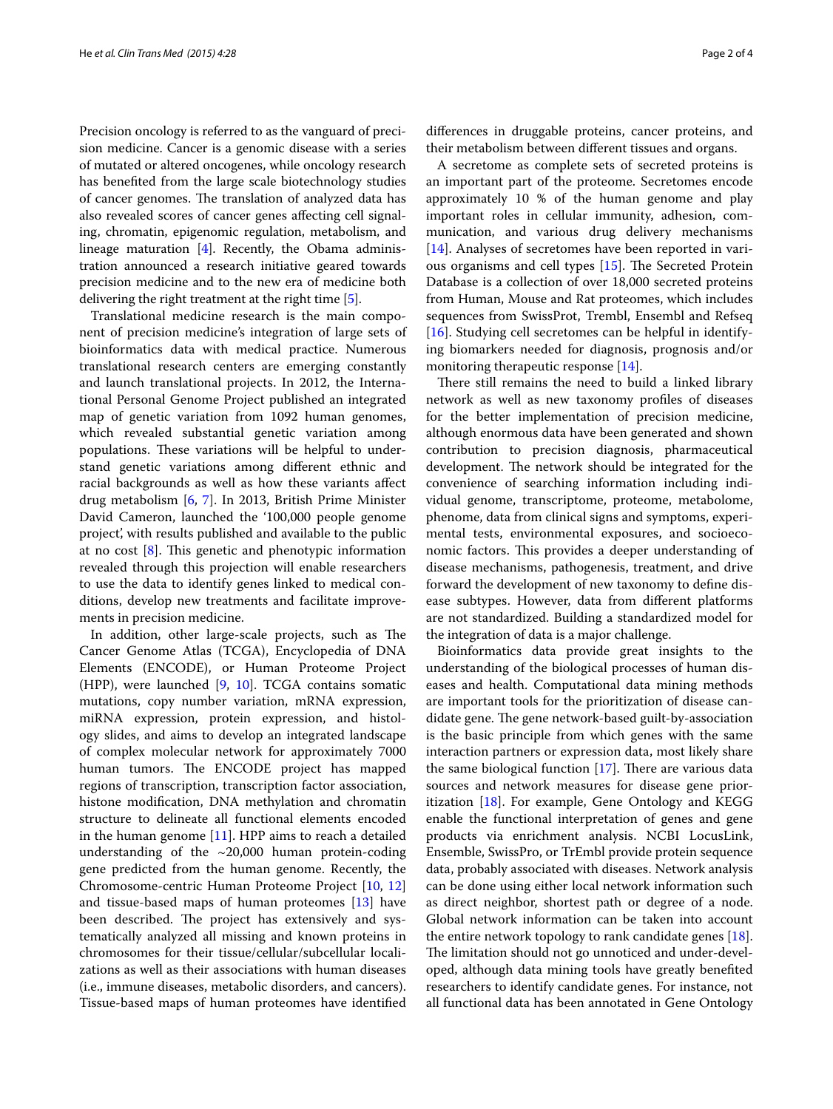Precision oncology is referred to as the vanguard of precision medicine. Cancer is a genomic disease with a series of mutated or altered oncogenes, while oncology research has benefited from the large scale biotechnology studies of cancer genomes. The translation of analyzed data has also revealed scores of cancer genes affecting cell signaling, chromatin, epigenomic regulation, metabolism, and lineage maturation [\[4\]](#page-2-3). Recently, the Obama administration announced a research initiative geared towards precision medicine and to the new era of medicine both delivering the right treatment at the right time [[5](#page-2-4)].

Translational medicine research is the main component of precision medicine's integration of large sets of bioinformatics data with medical practice. Numerous translational research centers are emerging constantly and launch translational projects. In 2012, the International Personal Genome Project published an integrated map of genetic variation from 1092 human genomes, which revealed substantial genetic variation among populations. These variations will be helpful to understand genetic variations among different ethnic and racial backgrounds as well as how these variants affect drug metabolism [\[6](#page-2-5), [7\]](#page-2-6). In 2013, British Prime Minister David Cameron, launched the '100,000 people genome project', with results published and available to the public at no cost [\[8](#page-2-7)]. This genetic and phenotypic information revealed through this projection will enable researchers to use the data to identify genes linked to medical conditions, develop new treatments and facilitate improvements in precision medicine.

In addition, other large-scale projects, such as The Cancer Genome Atlas (TCGA), Encyclopedia of DNA Elements (ENCODE), or Human Proteome Project (HPP), were launched [\[9](#page-2-8), [10](#page-2-9)]. TCGA contains somatic mutations, copy number variation, mRNA expression, miRNA expression, protein expression, and histology slides, and aims to develop an integrated landscape of complex molecular network for approximately 7000 human tumors. The ENCODE project has mapped regions of transcription, transcription factor association, histone modification, DNA methylation and chromatin structure to delineate all functional elements encoded in the human genome [\[11](#page-2-10)]. HPP aims to reach a detailed understanding of the  $\sim$ 20,000 human protein-coding gene predicted from the human genome. Recently, the Chromosome-centric Human Proteome Project [[10,](#page-2-9) [12](#page-2-11)] and tissue-based maps of human proteomes [\[13](#page-2-12)] have been described. The project has extensively and systematically analyzed all missing and known proteins in chromosomes for their tissue/cellular/subcellular localizations as well as their associations with human diseases (i.e., immune diseases, metabolic disorders, and cancers). Tissue-based maps of human proteomes have identified

differences in druggable proteins, cancer proteins, and their metabolism between different tissues and organs.

A secretome as complete sets of secreted proteins is an important part of the proteome. Secretomes encode approximately 10 % of the human genome and play important roles in cellular immunity, adhesion, communication, and various drug delivery mechanisms [[14\]](#page-2-13). Analyses of secretomes have been reported in various organisms and cell types [\[15\]](#page-2-14). The Secreted Protein Database is a collection of over 18,000 secreted proteins from Human, Mouse and Rat proteomes, which includes sequences from SwissProt, Trembl, Ensembl and Refseq [[16\]](#page-2-15). Studying cell secretomes can be helpful in identifying biomarkers needed for diagnosis, prognosis and/or monitoring therapeutic response [\[14](#page-2-13)].

There still remains the need to build a linked library network as well as new taxonomy profiles of diseases for the better implementation of precision medicine, although enormous data have been generated and shown contribution to precision diagnosis, pharmaceutical development. The network should be integrated for the convenience of searching information including individual genome, transcriptome, proteome, metabolome, phenome, data from clinical signs and symptoms, experimental tests, environmental exposures, and socioeconomic factors. This provides a deeper understanding of disease mechanisms, pathogenesis, treatment, and drive forward the development of new taxonomy to define disease subtypes. However, data from different platforms are not standardized. Building a standardized model for the integration of data is a major challenge.

Bioinformatics data provide great insights to the understanding of the biological processes of human diseases and health. Computational data mining methods are important tools for the prioritization of disease candidate gene. The gene network-based guilt-by-association is the basic principle from which genes with the same interaction partners or expression data, most likely share the same biological function [\[17\]](#page-2-16). There are various data sources and network measures for disease gene prioritization [[18\]](#page-3-0). For example, Gene Ontology and KEGG enable the functional interpretation of genes and gene products via enrichment analysis. NCBI LocusLink, Ensemble, SwissPro, or TrEmbl provide protein sequence data, probably associated with diseases. Network analysis can be done using either local network information such as direct neighbor, shortest path or degree of a node. Global network information can be taken into account the entire network topology to rank candidate genes [\[18](#page-3-0)]. The limitation should not go unnoticed and under-developed, although data mining tools have greatly benefited researchers to identify candidate genes. For instance, not all functional data has been annotated in Gene Ontology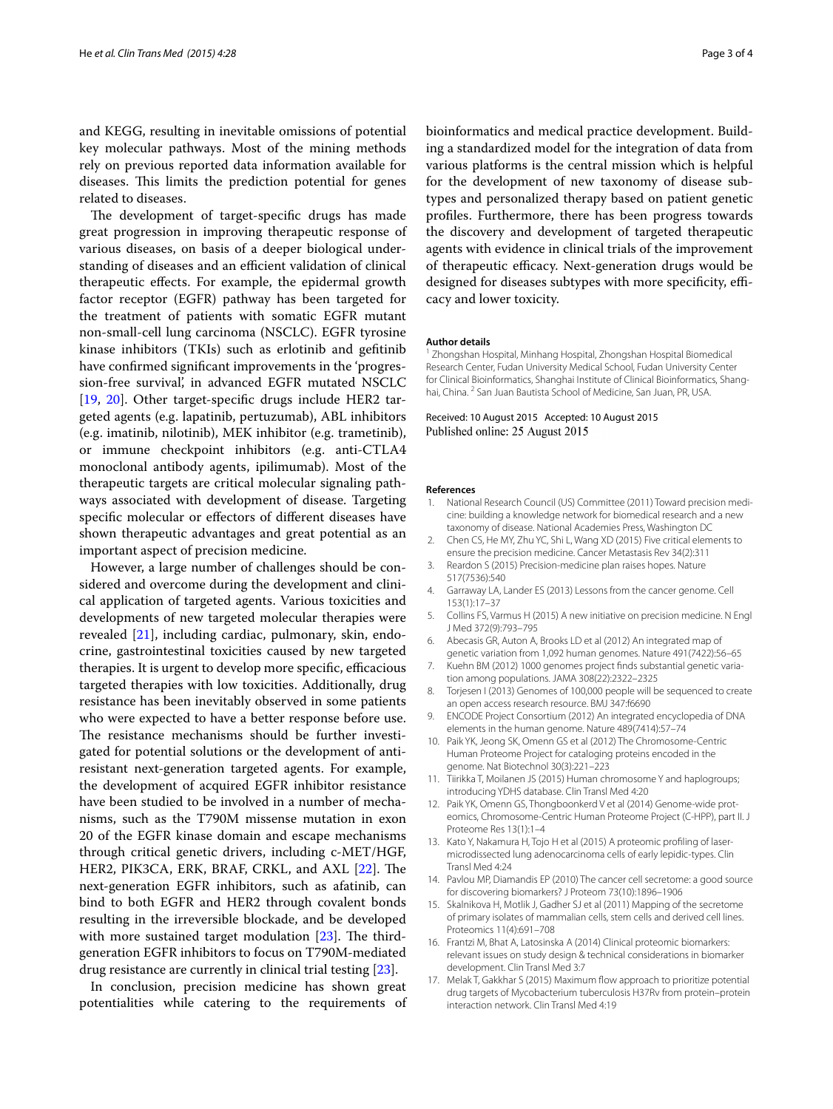and KEGG, resulting in inevitable omissions of potential key molecular pathways. Most of the mining methods rely on previous reported data information available for diseases. This limits the prediction potential for genes related to diseases.

The development of target-specific drugs has made great progression in improving therapeutic response of various diseases, on basis of a deeper biological understanding of diseases and an efficient validation of clinical therapeutic effects. For example, the epidermal growth factor receptor (EGFR) pathway has been targeted for the treatment of patients with somatic EGFR mutant non-small-cell lung carcinoma (NSCLC). EGFR tyrosine kinase inhibitors (TKIs) such as erlotinib and gefitinib have confirmed significant improvements in the 'progression-free survival', in advanced EGFR mutated NSCLC [[19,](#page-3-1) [20\]](#page-3-2). Other target-specific drugs include HER2 targeted agents (e.g. lapatinib, pertuzumab), ABL inhibitors (e.g. imatinib, nilotinib), MEK inhibitor (e.g. trametinib), or immune checkpoint inhibitors (e.g. anti-CTLA4 monoclonal antibody agents, ipilimumab). Most of the therapeutic targets are critical molecular signaling pathways associated with development of disease. Targeting specific molecular or effectors of different diseases have shown therapeutic advantages and great potential as an important aspect of precision medicine.

However, a large number of challenges should be considered and overcome during the development and clinical application of targeted agents. Various toxicities and developments of new targeted molecular therapies were revealed [[21\]](#page-3-3), including cardiac, pulmonary, skin, endocrine, gastrointestinal toxicities caused by new targeted therapies. It is urgent to develop more specific, efficacious targeted therapies with low toxicities. Additionally, drug resistance has been inevitably observed in some patients who were expected to have a better response before use. The resistance mechanisms should be further investigated for potential solutions or the development of antiresistant next-generation targeted agents. For example, the development of acquired EGFR inhibitor resistance have been studied to be involved in a number of mechanisms, such as the T790M missense mutation in exon 20 of the EGFR kinase domain and escape mechanisms through critical genetic drivers, including c-MET/HGF, HER2, PIK3CA, ERK, BRAF, CRKL, and AXL [\[22](#page-3-4)]. The next-generation EGFR inhibitors, such as afatinib, can bind to both EGFR and HER2 through covalent bonds resulting in the irreversible blockade, and be developed with more sustained target modulation [[23](#page-3-5)]. The thirdgeneration EGFR inhibitors to focus on T790M-mediated drug resistance are currently in clinical trial testing [[23](#page-3-5)].

In conclusion, precision medicine has shown great potentialities while catering to the requirements of

bioinformatics and medical practice development. Building a standardized model for the integration of data from various platforms is the central mission which is helpful for the development of new taxonomy of disease subtypes and personalized therapy based on patient genetic profiles. Furthermore, there has been progress towards the discovery and development of targeted therapeutic agents with evidence in clinical trials of the improvement of therapeutic efficacy. Next-generation drugs would be designed for diseases subtypes with more specificity, efficacy and lower toxicity.

### **Author details**

<sup>1</sup> Zhongshan Hospital, Minhang Hospital, Zhongshan Hospital Biomedical Research Center, Fudan University Medical School, Fudan University Center for Clinical Bioinformatics, Shanghai Institute of Clinical Bioinformatics, Shanghai, China. <sup>2</sup> San Juan Bautista School of Medicine, San Juan, PR, USA.

## Received: 10 August 2015 Accepted: 10 August 2015 Published online: 25 August 2015

#### **References**

- <span id="page-2-0"></span>1. National Research Council (US) Committee (2011) Toward precision medicine: building a knowledge network for biomedical research and a new taxonomy of disease. National Academies Press, Washington DC
- <span id="page-2-1"></span>2. Chen CS, He MY, Zhu YC, Shi L, Wang XD (2015) Five critical elements to ensure the precision medicine. Cancer Metastasis Rev 34(2):311
- <span id="page-2-2"></span>3. Reardon S (2015) Precision-medicine plan raises hopes. Nature 517(7536):540
- <span id="page-2-3"></span>4. Garraway LA, Lander ES (2013) Lessons from the cancer genome. Cell 153(1):17–37
- <span id="page-2-4"></span>5. Collins FS, Varmus H (2015) A new initiative on precision medicine. N Engl J Med 372(9):793–795
- <span id="page-2-5"></span>6. Abecasis GR, Auton A, Brooks LD et al (2012) An integrated map of genetic variation from 1,092 human genomes. Nature 491(7422):56–65
- <span id="page-2-6"></span>7. Kuehn BM (2012) 1000 genomes project finds substantial genetic variation among populations. JAMA 308(22):2322–2325
- <span id="page-2-7"></span>8. Torjesen I (2013) Genomes of 100,000 people will be sequenced to create an open access research resource. BMJ 347:f6690
- <span id="page-2-8"></span>9. ENCODE Project Consortium (2012) An integrated encyclopedia of DNA elements in the human genome. Nature 489(7414):57–74
- <span id="page-2-9"></span>10. Paik YK, Jeong SK, Omenn GS et al (2012) The Chromosome-Centric Human Proteome Project for cataloging proteins encoded in the genome. Nat Biotechnol 30(3):221–223
- <span id="page-2-10"></span>11. Tiirikka T, Moilanen JS (2015) Human chromosome Y and haplogroups; introducing YDHS database. Clin Transl Med 4:20
- <span id="page-2-11"></span>12. Paik YK, Omenn GS, Thongboonkerd V et al (2014) Genome-wide proteomics, Chromosome-Centric Human Proteome Project (C-HPP), part II. J Proteome Res 13(1):1–4
- <span id="page-2-12"></span>13. Kato Y, Nakamura H, Tojo H et al (2015) A proteomic profiling of lasermicrodissected lung adenocarcinoma cells of early lepidic-types. Clin Transl Med 4:24
- <span id="page-2-13"></span>14. Pavlou MP, Diamandis EP (2010) The cancer cell secretome: a good source for discovering biomarkers? J Proteom 73(10):1896–1906
- <span id="page-2-14"></span>15. Skalnikova H, Motlik J, Gadher SJ et al (2011) Mapping of the secretome of primary isolates of mammalian cells, stem cells and derived cell lines. Proteomics 11(4):691–708
- <span id="page-2-15"></span>16. Frantzi M, Bhat A, Latosinska A (2014) Clinical proteomic biomarkers: relevant issues on study design & technical considerations in biomarker development. Clin Transl Med 3:7
- <span id="page-2-16"></span>17. Melak T, Gakkhar S (2015) Maximum flow approach to prioritize potential drug targets of Mycobacterium tuberculosis H37Rv from protein–protein interaction network. Clin Transl Med 4:19